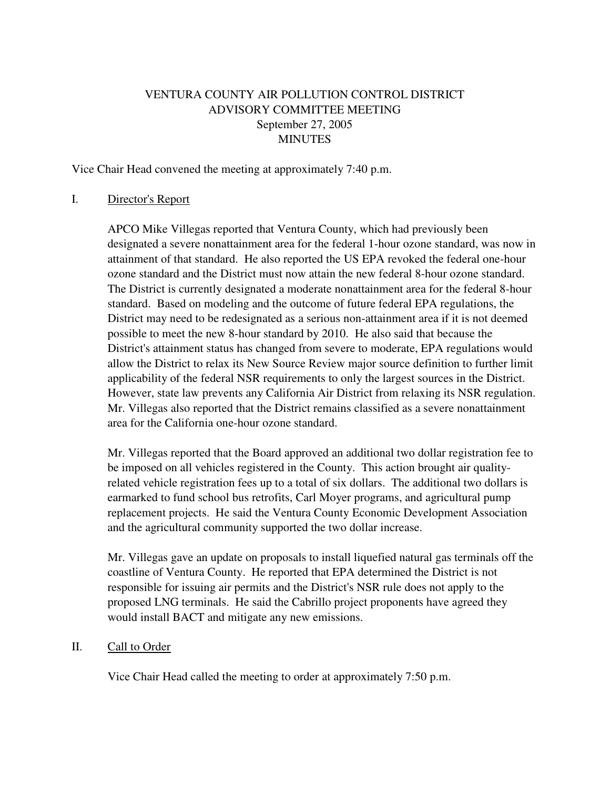# VENTURA COUNTY AIR POLLUTION CONTROL DISTRICT ADVISORY COMMITTEE MEETING September 27, 2005 **MINUTES**

Vice Chair Head convened the meeting at approximately 7:40 p.m.

#### I. Director's Report

 APCO Mike Villegas reported that Ventura County, which had previously been designated a severe nonattainment area for the federal 1-hour ozone standard, was now in attainment of that standard. He also reported the US EPA revoked the federal one-hour ozone standard and the District must now attain the new federal 8-hour ozone standard. The District is currently designated a moderate nonattainment area for the federal 8-hour standard. Based on modeling and the outcome of future federal EPA regulations, the District may need to be redesignated as a serious non-attainment area if it is not deemed possible to meet the new 8-hour standard by 2010. He also said that because the District's attainment status has changed from severe to moderate, EPA regulations would allow the District to relax its New Source Review major source definition to further limit applicability of the federal NSR requirements to only the largest sources in the District. However, state law prevents any California Air District from relaxing its NSR regulation. Mr. Villegas also reported that the District remains classified as a severe nonattainment area for the California one-hour ozone standard.

 Mr. Villegas reported that the Board approved an additional two dollar registration fee to be imposed on all vehicles registered in the County. This action brought air qualityrelated vehicle registration fees up to a total of six dollars. The additional two dollars is earmarked to fund school bus retrofits, Carl Moyer programs, and agricultural pump replacement projects. He said the Ventura County Economic Development Association and the agricultural community supported the two dollar increase.

 Mr. Villegas gave an update on proposals to install liquefied natural gas terminals off the coastline of Ventura County. He reported that EPA determined the District is not responsible for issuing air permits and the District's NSR rule does not apply to the proposed LNG terminals. He said the Cabrillo project proponents have agreed they would install BACT and mitigate any new emissions.

### II. Call to Order

Vice Chair Head called the meeting to order at approximately 7:50 p.m.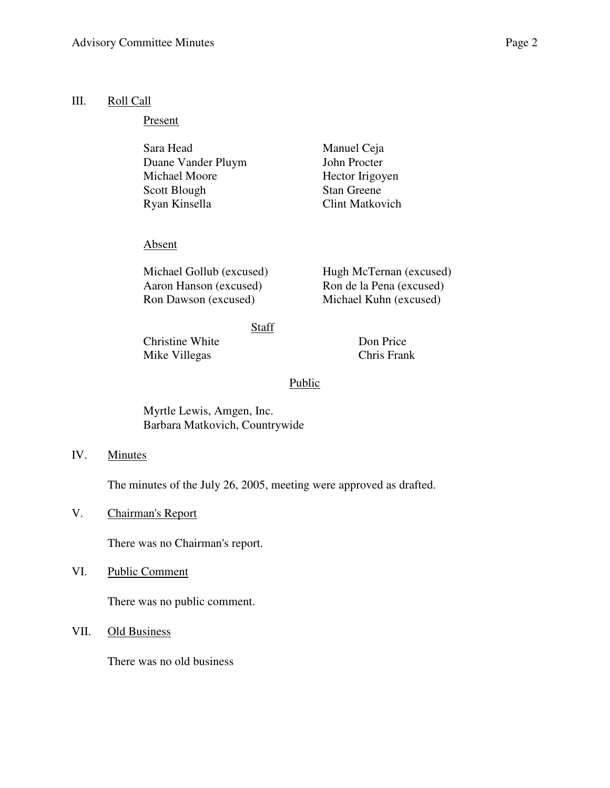#### III. Roll Call

Present

| Sara Head          | Manuel Ceja            |
|--------------------|------------------------|
| Duane Vander Pluym | John Procter           |
| Michael Moore      | Hector Irigoyen        |
| Scott Blough       | <b>Stan Greene</b>     |
| Ryan Kinsella      | <b>Clint Matkovich</b> |

### Absent

Michael Gollub (excused) Hugh McTernan (excused) Aaron Hanson (excused) Ron de la Pena (excused) Ron Dawson (excused) Michael Kuhn (excused)

**Staff** 

Christine White Don Price Mike Villegas Chris Frank

### **Public**

Myrtle Lewis, Amgen, Inc. Barbara Matkovich, Countrywide

IV. Minutes

The minutes of the July 26, 2005, meeting were approved as drafted.

V. Chairman's Report

There was no Chairman's report.

VI. Public Comment

There was no public comment.

VII. Old Business

There was no old business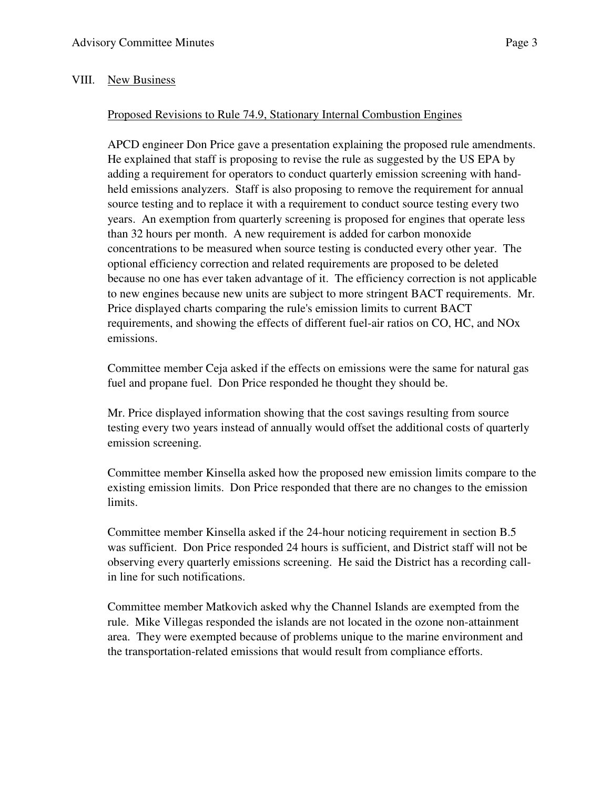## VIII. New Business

## Proposed Revisions to Rule 74.9, Stationary Internal Combustion Engines

 APCD engineer Don Price gave a presentation explaining the proposed rule amendments. He explained that staff is proposing to revise the rule as suggested by the US EPA by adding a requirement for operators to conduct quarterly emission screening with handheld emissions analyzers. Staff is also proposing to remove the requirement for annual source testing and to replace it with a requirement to conduct source testing every two years. An exemption from quarterly screening is proposed for engines that operate less than 32 hours per month. A new requirement is added for carbon monoxide concentrations to be measured when source testing is conducted every other year. The optional efficiency correction and related requirements are proposed to be deleted because no one has ever taken advantage of it. The efficiency correction is not applicable to new engines because new units are subject to more stringent BACT requirements. Mr. Price displayed charts comparing the rule's emission limits to current BACT requirements, and showing the effects of different fuel-air ratios on CO, HC, and NOx emissions.

 Committee member Ceja asked if the effects on emissions were the same for natural gas fuel and propane fuel. Don Price responded he thought they should be.

Mr. Price displayed information showing that the cost savings resulting from source testing every two years instead of annually would offset the additional costs of quarterly emission screening.

Committee member Kinsella asked how the proposed new emission limits compare to the existing emission limits. Don Price responded that there are no changes to the emission limits.

Committee member Kinsella asked if the 24-hour noticing requirement in section B.5 was sufficient. Don Price responded 24 hours is sufficient, and District staff will not be observing every quarterly emissions screening. He said the District has a recording callin line for such notifications.

Committee member Matkovich asked why the Channel Islands are exempted from the rule. Mike Villegas responded the islands are not located in the ozone non-attainment area. They were exempted because of problems unique to the marine environment and the transportation-related emissions that would result from compliance efforts.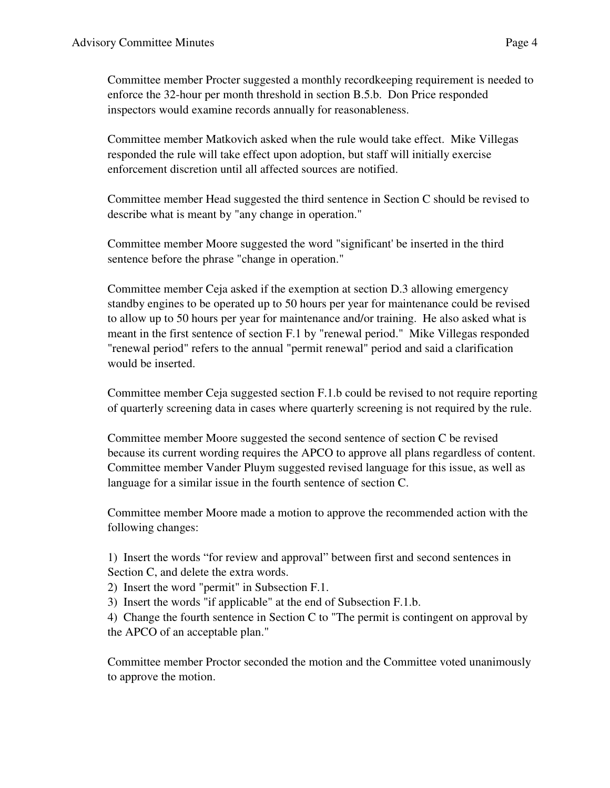Committee member Procter suggested a monthly recordkeeping requirement is needed to enforce the 32-hour per month threshold in section B.5.b. Don Price responded inspectors would examine records annually for reasonableness.

Committee member Matkovich asked when the rule would take effect. Mike Villegas responded the rule will take effect upon adoption, but staff will initially exercise enforcement discretion until all affected sources are notified.

Committee member Head suggested the third sentence in Section C should be revised to describe what is meant by "any change in operation."

Committee member Moore suggested the word "significant' be inserted in the third sentence before the phrase "change in operation."

Committee member Ceja asked if the exemption at section D.3 allowing emergency standby engines to be operated up to 50 hours per year for maintenance could be revised to allow up to 50 hours per year for maintenance and/or training. He also asked what is meant in the first sentence of section F.1 by "renewal period." Mike Villegas responded "renewal period" refers to the annual "permit renewal" period and said a clarification would be inserted.

Committee member Ceja suggested section F.1.b could be revised to not require reporting of quarterly screening data in cases where quarterly screening is not required by the rule.

Committee member Moore suggested the second sentence of section C be revised because its current wording requires the APCO to approve all plans regardless of content. Committee member Vander Pluym suggested revised language for this issue, as well as language for a similar issue in the fourth sentence of section C.

Committee member Moore made a motion to approve the recommended action with the following changes:

1) Insert the words "for review and approval" between first and second sentences in Section C, and delete the extra words.

2) Insert the word "permit" in Subsection F.1.

3) Insert the words "if applicable" at the end of Subsection F.1.b.

4) Change the fourth sentence in Section C to "The permit is contingent on approval by the APCO of an acceptable plan."

Committee member Proctor seconded the motion and the Committee voted unanimously to approve the motion.